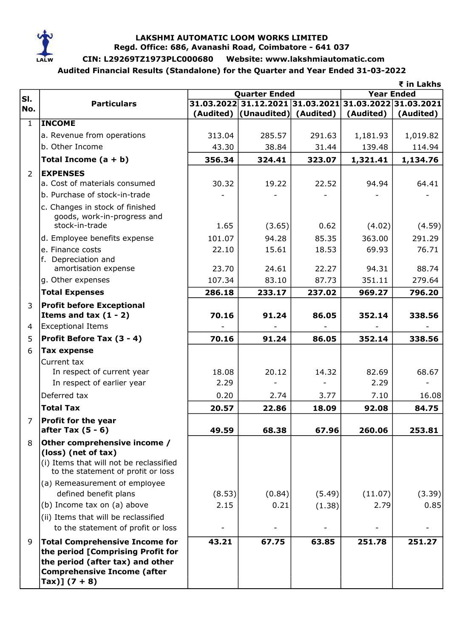

## LAKSHMI AUTOMATIC LOOM WORKS LIMITED Regd. Office: 686, Avanashi Road, Coimbatore - 641 037

# CIN: L29269TZ1973PLC000680 Website: www.lakshmiautomatic.com

Audited Financial Results (Standalone) for the Quarter and Year Ended 31-03-2022

|                |                                                             |                      |                                                        |        |                   | ₹ in Lakhs |  |
|----------------|-------------------------------------------------------------|----------------------|--------------------------------------------------------|--------|-------------------|------------|--|
| SI.            |                                                             | <b>Quarter Ended</b> |                                                        |        | <b>Year Ended</b> |            |  |
| No.            | <b>Particulars</b>                                          |                      | 31.03.2022 31.12.2021 31.03.2021 31.03.2022 31.03.2021 |        |                   |            |  |
|                | <b>INCOME</b>                                               |                      | (Audited) (Unaudited) (Audited)                        |        | (Audited)         | (Audited)  |  |
| $\mathbf{1}$   |                                                             |                      |                                                        |        |                   |            |  |
|                | a. Revenue from operations                                  | 313.04               | 285.57                                                 | 291.63 | 1,181.93          | 1,019.82   |  |
|                | b. Other Income                                             | 43.30                | 38.84                                                  | 31.44  | 139.48            | 114.94     |  |
|                | Total Income $(a + b)$                                      | 356.34               | 324.41                                                 | 323.07 | 1,321.41          | 1,134.76   |  |
| $\overline{2}$ | <b>EXPENSES</b>                                             |                      |                                                        |        |                   |            |  |
|                | a. Cost of materials consumed                               | 30.32                | 19.22                                                  | 22.52  | 94.94             | 64.41      |  |
|                | b. Purchase of stock-in-trade                               |                      |                                                        |        |                   |            |  |
|                | c. Changes in stock of finished                             |                      |                                                        |        |                   |            |  |
|                | goods, work-in-progress and<br>stock-in-trade               |                      |                                                        |        |                   |            |  |
|                |                                                             | 1.65                 | (3.65)                                                 | 0.62   | (4.02)            | (4.59)     |  |
|                | d. Employee benefits expense                                | 101.07               | 94.28                                                  | 85.35  | 363.00            | 291.29     |  |
|                | e. Finance costs                                            | 22.10                | 15.61                                                  | 18.53  | 69.93             | 76.71      |  |
|                | f. Depreciation and<br>amortisation expense                 | 23.70                | 24.61                                                  | 22.27  | 94.31             | 88.74      |  |
|                | g. Other expenses                                           | 107.34               | 83.10                                                  | 87.73  | 351.11            | 279.64     |  |
|                | <b>Total Expenses</b>                                       | 286.18               | 233.17                                                 | 237.02 | 969.27            | 796.20     |  |
|                |                                                             |                      |                                                        |        |                   |            |  |
| 3              | <b>Profit before Exceptional</b><br>Items and tax $(1 - 2)$ | 70.16                | 91.24                                                  | 86.05  | 352.14            | 338.56     |  |
| 4              | <b>Exceptional Items</b>                                    |                      |                                                        |        |                   |            |  |
| 5              | Profit Before Tax (3 - 4)                                   | 70.16                | 91.24                                                  | 86.05  | 352.14            | 338.56     |  |
| 6              |                                                             |                      |                                                        |        |                   |            |  |
|                | <b>Tax expense</b>                                          |                      |                                                        |        |                   |            |  |
|                | Current tax<br>In respect of current year                   | 18.08                | 20.12                                                  | 14.32  | 82.69             | 68.67      |  |
|                | In respect of earlier year                                  | 2.29                 |                                                        |        | 2.29              |            |  |
|                | Deferred tax                                                | 0.20                 | 2.74                                                   | 3.77   | 7.10              | 16.08      |  |
|                |                                                             |                      |                                                        |        |                   |            |  |
|                | <b>Total Tax</b>                                            | 20.57                | 22.86                                                  | 18.09  | 92.08             | 84.75      |  |
| $\overline{7}$ | <b>Profit for the year</b><br>after Tax $(5 - 6)$           | 49.59                | 68.38                                                  | 67.96  | 260.06            | 253.81     |  |
|                |                                                             |                      |                                                        |        |                   |            |  |
| 8              | Other comprehensive income /<br>(loss) (net of tax)         |                      |                                                        |        |                   |            |  |
|                | (i) Items that will not be reclassified                     |                      |                                                        |        |                   |            |  |
|                | to the statement of profit or loss                          |                      |                                                        |        |                   |            |  |
|                | (a) Remeasurement of employee                               |                      |                                                        |        |                   |            |  |
|                | defined benefit plans                                       | (8.53)               | (0.84)                                                 | (5.49) | (11.07)           | (3.39)     |  |
|                | (b) Income tax on (a) above                                 | 2.15                 | 0.21                                                   | (1.38) | 2.79              | 0.85       |  |
|                | (ii) Items that will be reclassified                        |                      |                                                        |        |                   |            |  |
|                | to the statement of profit or loss                          |                      |                                                        |        |                   |            |  |
| 9              | <b>Total Comprehensive Income for</b>                       | 43.21                | 67.75                                                  | 63.85  | 251.78            | 251.27     |  |
|                | the period [Comprising Profit for                           |                      |                                                        |        |                   |            |  |
|                | the period (after tax) and other                            |                      |                                                        |        |                   |            |  |
|                | <b>Comprehensive Income (after</b>                          |                      |                                                        |        |                   |            |  |
|                | Tax)] $(7 + 8)$                                             |                      |                                                        |        |                   |            |  |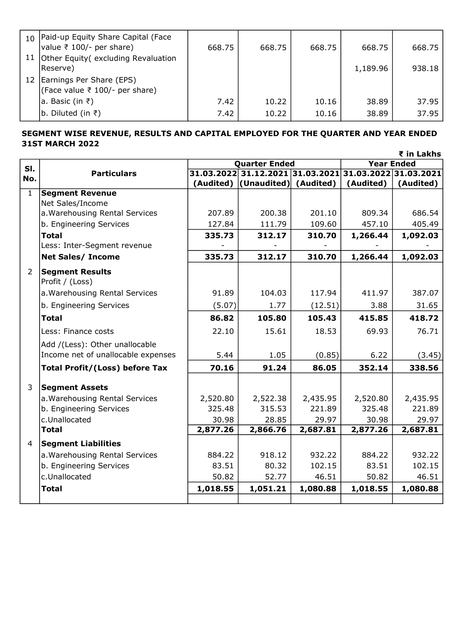| 10   Paid-up Equity Share Capital (Face<br> value ₹ 100/- per share)<br>11 Other Equity (excluding Revaluation | 668.75 | 668.75 | 668.75 | 668.75   | 668.75 |
|----------------------------------------------------------------------------------------------------------------|--------|--------|--------|----------|--------|
| Reserve)                                                                                                       |        |        |        | 1,189.96 | 938.18 |
| 12 Earnings Per Share (EPS)<br>(Face value ₹ 100/- per share)                                                  |        |        |        |          |        |
| a. Basic (in ₹)                                                                                                | 7.42   | 10.22  | 10.16  | 38.89    | 37.95  |
| b. Diluted (in ₹)                                                                                              | 7.42   | 10.22  | 10.16  | 38.89    | 37.95  |

# SEGMENT WISE REVENUE, RESULTS AND CAPITAL EMPLOYED FOR THE QUARTER AND YEAR ENDED 31ST MARCH 2022

|               |                                                    |                      |                                                        |          | ₹ in Lakhs        |           |  |
|---------------|----------------------------------------------------|----------------------|--------------------------------------------------------|----------|-------------------|-----------|--|
| SI.           |                                                    | <b>Quarter Ended</b> |                                                        |          | <b>Year Ended</b> |           |  |
| No.           | <b>Particulars</b>                                 |                      | 31.03.2022 31.12.2021 31.03.2021 31.03.2022 31.03.2021 |          |                   |           |  |
|               |                                                    |                      | (Audited) (Unaudited) (Audited)                        |          | (Audited)         | (Audited) |  |
| $\mathbf{1}$  | <b>Segment Revenue</b>                             |                      |                                                        |          |                   |           |  |
|               | Net Sales/Income<br>a. Warehousing Rental Services | 207.89               | 200.38                                                 | 201.10   | 809.34            | 686.54    |  |
|               | b. Engineering Services                            | 127.84               | 111.79                                                 | 109.60   | 457.10            | 405.49    |  |
|               | <b>Total</b>                                       | 335.73               | 312.17                                                 | 310.70   | 1,266.44          | 1,092.03  |  |
|               | Less: Inter-Segment revenue                        |                      |                                                        |          |                   |           |  |
|               | <b>Net Sales/ Income</b>                           | 335.73               | 312.17                                                 | 310.70   | 1,266.44          | 1,092.03  |  |
|               |                                                    |                      |                                                        |          |                   |           |  |
| $\mathcal{P}$ | <b>Segment Results</b><br>Profit / (Loss)          |                      |                                                        |          |                   |           |  |
|               | a. Warehousing Rental Services                     | 91.89                | 104.03                                                 | 117.94   | 411.97            | 387.07    |  |
|               | b. Engineering Services                            | (5.07)               | 1.77                                                   | (12.51)  | 3.88              | 31.65     |  |
|               | <b>Total</b>                                       | 86.82                | 105.80                                                 | 105.43   | 415.85            | 418.72    |  |
|               | Less: Finance costs                                | 22.10                | 15.61                                                  | 18.53    | 69.93             | 76.71     |  |
|               | Add /(Less): Other unallocable                     |                      |                                                        |          |                   |           |  |
|               | Income net of unallocable expenses                 | 5.44                 | 1.05                                                   | (0.85)   | 6.22              | (3.45)    |  |
|               | <b>Total Profit/(Loss) before Tax</b>              | 70.16                | 91.24                                                  | 86.05    | 352.14            | 338.56    |  |
| 3             | <b>Segment Assets</b>                              |                      |                                                        |          |                   |           |  |
|               | a. Warehousing Rental Services                     | 2,520.80             | 2,522.38                                               | 2,435.95 | 2,520.80          | 2,435.95  |  |
|               | b. Engineering Services                            | 325.48               | 315.53                                                 | 221.89   | 325.48            | 221.89    |  |
|               | c.Unallocated                                      | 30.98                | 28.85                                                  | 29.97    | 30.98             | 29.97     |  |
|               | <b>Total</b>                                       | 2,877.26             | 2,866.76                                               | 2,687.81 | 2,877.26          | 2,687.81  |  |
| 4             | <b>Segment Liabilities</b>                         |                      |                                                        |          |                   |           |  |
|               | a. Warehousing Rental Services                     | 884.22               | 918.12                                                 | 932.22   | 884.22            | 932.22    |  |
|               | b. Engineering Services                            | 83.51                | 80.32                                                  | 102.15   | 83.51             | 102.15    |  |
|               | c.Unallocated                                      | 50.82                | 52.77                                                  | 46.51    | 50.82             | 46.51     |  |
|               | <b>Total</b>                                       | 1,018.55             | 1,051.21                                               | 1,080.88 | 1,018.55          | 1,080.88  |  |
|               |                                                    |                      |                                                        |          |                   |           |  |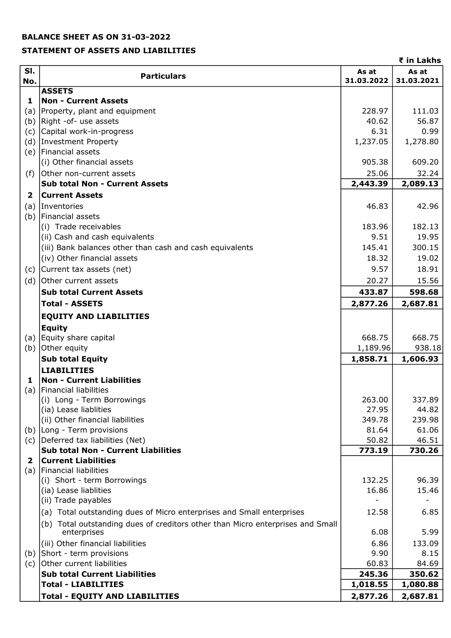## BALANCE SHEET AS ON 31-03-2022

#### STATEMENT OF ASSETS AND LIABILITIES

|                |                                                                                |                     | ₹ in Lakhs          |
|----------------|--------------------------------------------------------------------------------|---------------------|---------------------|
| SI.<br>No.     | <b>Particulars</b>                                                             | As at<br>31.03.2022 | As at<br>31.03.2021 |
|                | <b>ASSETS</b>                                                                  |                     |                     |
| 1              | <b>Non - Current Assets</b>                                                    |                     |                     |
| (a)            | Property, plant and equipment                                                  | 228.97              | 111.03              |
|                | (b) Right -of- use assets                                                      | 40.62               | 56.87               |
|                | (c) Capital work-in-progress                                                   | 6.31<br>1,237.05    | 0.99<br>1,278.80    |
|                | (d) Investment Property<br>(e) Financial assets                                |                     |                     |
|                | (i) Other financial assets                                                     | 905.38              | 609.20              |
|                | Other non-current assets                                                       | 25.06               | 32.24               |
| (f)            | <b>Sub total Non - Current Assets</b>                                          | 2,443.39            | 2,089.13            |
| $\overline{2}$ | <b>Current Assets</b>                                                          |                     |                     |
|                |                                                                                |                     |                     |
| (a)            | Inventories                                                                    | 46.83               | 42.96               |
|                | (b) Financial assets<br>(i) Trade receivables                                  | 183.96              | 182.13              |
|                | (ii) Cash and cash equivalents                                                 | 9.51                | 19.95               |
|                | (iii) Bank balances other than cash and cash equivalents                       | 145.41              | 300.15              |
|                | (iv) Other financial assets                                                    | 18.32               | 19.02               |
|                | Current tax assets (net)                                                       | 9.57                | 18.91               |
| (c)            | (d) Other current assets                                                       |                     |                     |
|                |                                                                                | 20.27               | 15.56               |
|                | <b>Sub total Current Assets</b>                                                | 433.87              | 598.68              |
|                | <b>Total - ASSETS</b>                                                          | 2,877.26            | 2,687.81            |
|                | <b>EQUITY AND LIABILITIES</b><br><b>Equity</b>                                 |                     |                     |
|                | (a) Equity share capital                                                       | 668.75              | 668.75              |
|                | (b) Other equity                                                               | 1,189.96            | 938.18              |
|                | <b>Sub total Equity</b>                                                        | 1,858.71            | 1,606.93            |
|                | <b>LIABILITIES</b>                                                             |                     |                     |
| 1              | <b>Non - Current Liabilities</b>                                               |                     |                     |
|                | (a) Financial liabilities                                                      |                     |                     |
|                | (i) Long - Term Borrowings                                                     | 263.00              | 337.89              |
|                | (ia) Lease liablities                                                          | 27.95               | 44.82               |
|                | (ii) Other financial liabilities                                               | 349.78              | 239.98              |
|                | (b) Long - Term provisions                                                     | 81.64               | 61.06               |
|                | (c) Deferred tax liabilities (Net)                                             | 50.82               | 46.51               |
| $\mathbf{2}$   | Sub total Non - Current Liabilities<br><b>Current Liabilities</b>              | 773.19              | 730.26              |
| (a)            | Financial liabilities                                                          |                     |                     |
|                | (i) Short - term Borrowings                                                    | 132.25              | 96.39               |
|                | (ia) Lease liablities                                                          | 16.86               | 15.46               |
|                | (ii) Trade payables                                                            |                     |                     |
|                | (a) Total outstanding dues of Micro enterprises and Small enterprises          | 12.58               | 6.85                |
|                | (b) Total outstanding dues of creditors other than Micro enterprises and Small |                     |                     |
|                | enterprises                                                                    | 6.08                | 5.99                |
|                | (iii) Other financial liabilities                                              | 6.86                | 133.09              |
|                | (b) Short - term provisions                                                    | 9.90                | 8.15                |
|                | (c) Other current liabilities                                                  | 60.83               | 84.69               |
|                | <b>Sub total Current Liabilities</b><br><b>Total - LIABILITIES</b>             | 245.36              | 350.62              |
|                |                                                                                | 1,018.55            | 1,080.88            |
|                | <b>Total - EQUITY AND LIABILITIES</b>                                          | 2,877.26            | 2,687.81            |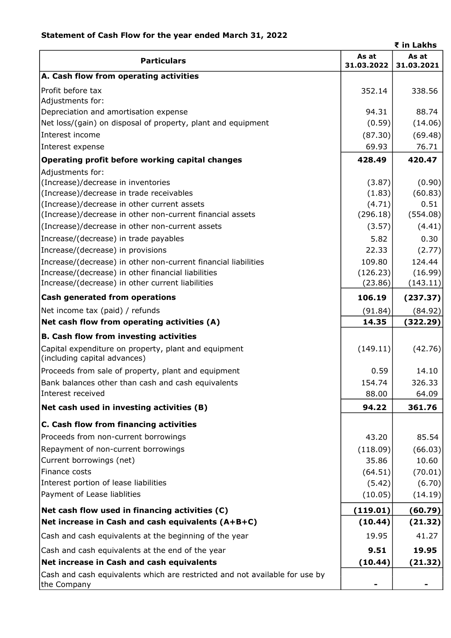|                                                                                                     |                     | ₹ in Lakhs          |
|-----------------------------------------------------------------------------------------------------|---------------------|---------------------|
| <b>Particulars</b>                                                                                  | As at<br>31.03.2022 | As at<br>31.03.2021 |
| A. Cash flow from operating activities                                                              |                     |                     |
| Profit before tax                                                                                   | 352.14              | 338.56              |
| Adjustments for:                                                                                    | 94.31               | 88.74               |
| Depreciation and amortisation expense                                                               |                     |                     |
| Net loss/(gain) on disposal of property, plant and equipment                                        | (0.59)              | (14.06)             |
| Interest income                                                                                     | (87.30)             | (69.48)             |
| Interest expense                                                                                    | 69.93               | 76.71               |
| Operating profit before working capital changes                                                     | 428.49              | 420.47              |
| Adjustments for:                                                                                    |                     |                     |
| (Increase)/decrease in inventories                                                                  | (3.87)              | (0.90)              |
| (Increase)/decrease in trade receivables                                                            | (1.83)              | (60.83)             |
| (Increase)/decrease in other current assets                                                         | (4.71)              | 0.51                |
| (Increase)/decrease in other non-current financial assets                                           | (296.18)            | (554.08)            |
| (Increase)/decrease in other non-current assets                                                     | (3.57)              | (4.41)              |
| Increase/(decrease) in trade payables                                                               | 5.82                | 0.30                |
| Increase/(decrease) in provisions                                                                   | 22.33               | (2.77)              |
| Increase/(decrease) in other non-current financial liabilities                                      | 109.80              | 124.44              |
| Increase/(decrease) in other financial liabilities                                                  | (126.23)            | (16.99)             |
| Increase/(decrease) in other current liabilities                                                    | (23.86)             | (143.11)            |
| <b>Cash generated from operations</b>                                                               | 106.19              | (237.37)            |
| Net income tax (paid) / refunds                                                                     | (91.84)             | (84.92)             |
| Net cash flow from operating activities (A)                                                         | 14.35               | (322.29)            |
| <b>B. Cash flow from investing activities</b>                                                       |                     |                     |
| Capital expenditure on property, plant and equipment<br>(including capital advances)                | (149.11)            | (42.76)             |
| Proceeds from sale of property, plant and equipment                                                 | 0.59                | 14.10               |
| Bank balances other than cash and cash equivalents                                                  | 154.74              | 326.33              |
| Interest received                                                                                   | 88.00               | 64.09               |
| Net cash used in investing activities (B)                                                           | 94.22               | 361.76              |
| C. Cash flow from financing activities                                                              |                     |                     |
| Proceeds from non-current borrowings                                                                | 43.20               | 85.54               |
| Repayment of non-current borrowings                                                                 | (118.09)            | (66.03)             |
| Current borrowings (net)                                                                            | 35.86               | 10.60               |
| Finance costs                                                                                       | (64.51)             | (70.01)             |
| Interest portion of lease liabilities                                                               | (5.42)              | (6.70)              |
| Payment of Lease liablities                                                                         | (10.05)             | (14.19)             |
|                                                                                                     |                     |                     |
| Net cash flow used in financing activities (C)<br>Net increase in Cash and cash equivalents (A+B+C) | (119.01)<br>(10.44) | (60.79)<br>(21.32)  |
|                                                                                                     |                     |                     |
| Cash and cash equivalents at the beginning of the year                                              | 19.95               | 41.27               |
| Cash and cash equivalents at the end of the year                                                    | 9.51                | 19.95               |
| Net increase in Cash and cash equivalents                                                           | (10.44)             | (21.32)             |
| Cash and cash equivalents which are restricted and not available for use by<br>the Company          |                     |                     |